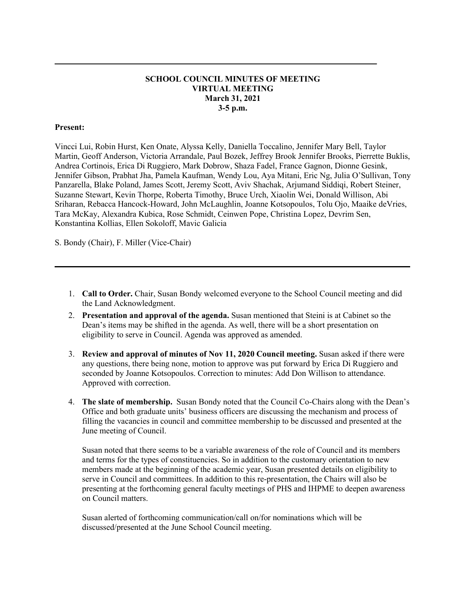#### **SCHOOL COUNCIL MINUTES OF MEETING VIRTUAL MEETING March 31, 2021 3-5 p.m.**

**\_\_\_\_\_\_\_\_\_\_\_\_\_\_\_\_\_\_\_\_\_\_\_\_\_\_\_\_\_\_\_\_\_\_\_\_\_\_\_\_\_\_\_\_\_\_\_\_\_\_\_\_\_\_\_\_\_\_\_\_\_\_\_\_\_\_\_\_\_\_\_\_\_\_\_\_\_**

#### **Present:**

Vincci Lui, Robin Hurst, Ken Onate, Alyssa Kelly, Daniella Toccalino, Jennifer Mary Bell, Taylor Martin, Geoff Anderson, Victoria Arrandale, Paul Bozek, Jeffrey Brook Jennifer Brooks, Pierrette Buklis, Andrea Cortinois, Erica Di Ruggiero, Mark Dobrow, Shaza Fadel, France Gagnon, Dionne Gesink, Jennifer Gibson, Prabhat Jha, Pamela Kaufman, Wendy Lou, Aya Mitani, Eric Ng, Julia O'Sullivan, Tony Panzarella, Blake Poland, James Scott, Jeremy Scott, Aviv Shachak, Arjumand Siddiqi, Robert Steiner, Suzanne Stewart, Kevin Thorpe, Roberta Timothy, Bruce Urch, Xiaolin Wei, Donald Willison, Abi Sriharan, Rebacca Hancock-Howard, John McLaughlin, Joanne Kotsopoulos, Tolu Ojo, Maaike deVries, Tara McKay, Alexandra Kubica, Rose Schmidt, Ceinwen Pope, Christina Lopez, Devrim Sen, Konstantina Kollias, Ellen Sokoloff, Mavic Galicia

S. Bondy (Chair), F. Miller (Vice-Chair)

1. **Call to Order.** Chair, Susan Bondy welcomed everyone to the School Council meeting and did the Land Acknowledgment.

 $\mathcal{L}_\mathcal{L} = \mathcal{L}_\mathcal{L} = \mathcal{L}_\mathcal{L} = \mathcal{L}_\mathcal{L} = \mathcal{L}_\mathcal{L} = \mathcal{L}_\mathcal{L} = \mathcal{L}_\mathcal{L} = \mathcal{L}_\mathcal{L} = \mathcal{L}_\mathcal{L} = \mathcal{L}_\mathcal{L} = \mathcal{L}_\mathcal{L} = \mathcal{L}_\mathcal{L} = \mathcal{L}_\mathcal{L} = \mathcal{L}_\mathcal{L} = \mathcal{L}_\mathcal{L} = \mathcal{L}_\mathcal{L} = \mathcal{L}_\mathcal{L}$ 

- 2. **Presentation and approval of the agenda.** Susan mentioned that Steini is at Cabinet so the Dean's items may be shifted in the agenda. As well, there will be a short presentation on eligibility to serve in Council. Agenda was approved as amended.
- 3. **Review and approval of minutes of Nov 11, 2020 Council meeting.** Susan asked if there were any questions, there being none, motion to approve was put forward by Erica Di Ruggiero and seconded by Joanne Kotsopoulos. Correction to minutes: Add Don Willison to attendance. Approved with correction.
- 4. **The slate of membership.** Susan Bondy noted that the Council Co-Chairs along with the Dean's Office and both graduate units' business officers are discussing the mechanism and process of filling the vacancies in council and committee membership to be discussed and presented at the June meeting of Council.

Susan noted that there seems to be a variable awareness of the role of Council and its members and terms for the types of constituencies. So in addition to the customary orientation to new members made at the beginning of the academic year, Susan presented details on eligibility to serve in Council and committees. In addition to this re-presentation, the Chairs will also be presenting at the forthcoming general faculty meetings of PHS and IHPME to deepen awareness on Council matters.

Susan alerted of forthcoming communication/call on/for nominations which will be discussed/presented at the June School Council meeting.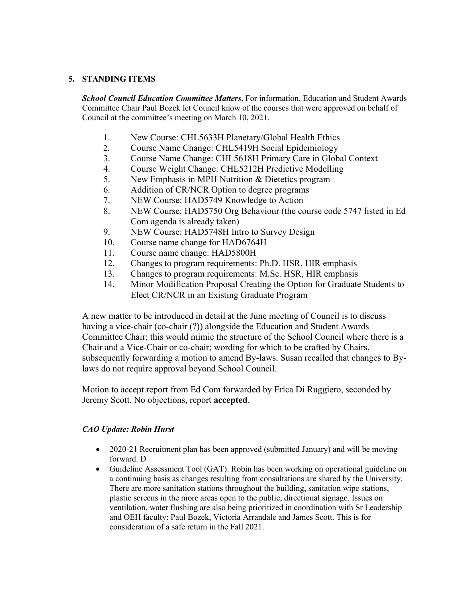#### **5. STANDING ITEMS**

*School Council Education Committee Matters*. For information, Education and Student Awards Committee Chair Paul Bozek let Council know of the courses that were approved on behalf of Council at the committee's meeting on March 10, 2021.

- 1. New Course: CHL5633H Planetary/Global Health Ethics
- 2. Course Name Change: CHL5419H Social Epidemiology
- 3. Course Name Change: CHL5618H Primary Care in Global Context
- 4. Course Weight Change: CHL5212H Predictive Modelling
- 5. New Emphasis in MPH Nutrition & Dietetics program
- 6. Addition of CR/NCR Option to degree programs
- 7. NEW Course: HAD5749 Knowledge to Action
- 8. NEW Course: HAD5750 Org Behaviour (the course code 5747 listed in Ed Com agenda is already taken)
- 9. NEW Course: HAD5748H Intro to Survey Design
- 10. Course name change for HAD6764H
- 11. Course name change: HAD5800H
- 12. Changes to program requirements: Ph.D. HSR, HIR emphasis
- 13. Changes to program requirements: M.Sc. HSR, HIR emphasis
- 14. Minor Modification Proposal Creating the Option for Graduate Students to Elect CR/NCR in an Existing Graduate Program

A new matter to be introduced in detail at the June meeting of Council is to discuss having a vice-chair (co-chair (?)) alongside the Education and Student Awards Committee Chair; this would mimic the structure of the School Council where there is a Chair and a Vice-Chair or co-chair; wording for which to be crafted by Chairs, subsequently forwarding a motion to amend By-laws. Susan recalled that changes to Bylaws do not require approval beyond School Council.

Motion to accept report from Ed Com forwarded by Erica Di Ruggiero, seconded by Jeremy Scott. No objections, report **accepted**.

# *CAO Update: Robin Hurst*

- 2020-21 Recruitment plan has been approved (submitted January) and will be moving forward. D
- Guideline Assessment Tool (GAT). Robin has been working on operational guideline on a continuing basis as changes resulting from consultations are shared by the University. There are more sanitation stations throughout the building, sanitation wipe stations, plastic screens in the more areas open to the public, directional signage. Issues on ventilation, water flushing are also being prioritized in coordination with Sr Leadership and OEH faculty: Paul Bozek, Victoria Arrandale and James Scott. This is for consideration of a safe return in the Fall 2021.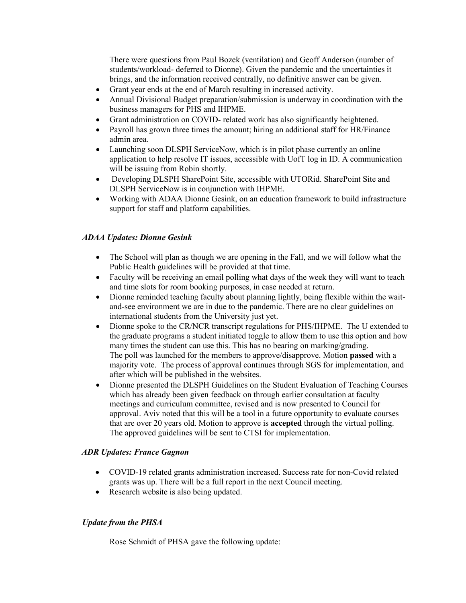There were questions from Paul Bozek (ventilation) and Geoff Anderson (number of students/workload- deferred to Dionne). Given the pandemic and the uncertainties it brings, and the information received centrally, no definitive answer can be given.

- Grant year ends at the end of March resulting in increased activity.
- Annual Divisional Budget preparation/submission is underway in coordination with the business managers for PHS and IHPME.
- Grant administration on COVID- related work has also significantly heightened.
- Payroll has grown three times the amount; hiring an additional staff for HR/Finance admin area.
- Launching soon DLSPH ServiceNow, which is in pilot phase currently an online application to help resolve IT issues, accessible with UofT log in ID. A communication will be issuing from Robin shortly.
- Developing DLSPH SharePoint Site, accessible with UTORid. SharePoint Site and DLSPH ServiceNow is in conjunction with IHPME.
- Working with ADAA Dionne Gesink, on an education framework to build infrastructure support for staff and platform capabilities.

# *ADAA Updates: Dionne Gesink*

- The School will plan as though we are opening in the Fall, and we will follow what the Public Health guidelines will be provided at that time.
- Faculty will be receiving an email polling what days of the week they will want to teach and time slots for room booking purposes, in case needed at return.
- Dionne reminded teaching faculty about planning lightly, being flexible within the waitand-see environment we are in due to the pandemic. There are no clear guidelines on international students from the University just yet.
- Dionne spoke to the CR/NCR transcript regulations for PHS/IHPME. The U extended to the graduate programs a student initiated toggle to allow them to use this option and how many times the student can use this. This has no bearing on marking/grading. The poll was launched for the members to approve/disapprove. Motion **passed** with a majority vote. The process of approval continues through SGS for implementation, and after which will be published in the websites.
- Dionne presented the DLSPH Guidelines on the Student Evaluation of Teaching Courses which has already been given feedback on through earlier consultation at faculty meetings and curriculum committee, revised and is now presented to Council for approval. Aviv noted that this will be a tool in a future opportunity to evaluate courses that are over 20 years old. Motion to approve is **accepted** through the virtual polling. The approved guidelines will be sent to CTSI for implementation.

# *ADR Updates: France Gagnon*

- COVID-19 related grants administration increased. Success rate for non-Covid related grants was up. There will be a full report in the next Council meeting.
- Research website is also being updated.

#### *Update from the PHSA*

Rose Schmidt of PHSA gave the following update: